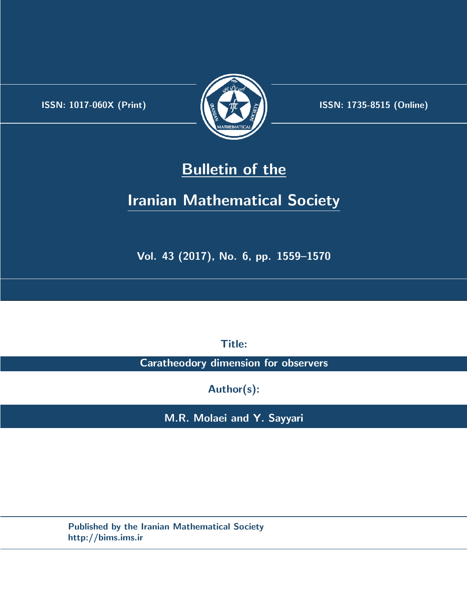.



**ISSN:** 1017-060X (Print)  $\left| \left( \frac{1}{2} \sum \frac{1}{k} \right) \right|$  **ISSN:** 1735-8515 (Online)

# **Bulletin of the**

# **Iranian Mathematical Society**

**Vol. 43 (2017), No. 6, pp. 1559–1570**

**Title:**

**Caratheodory dimension for observers**

**Author(s):**

**M.R. Molaei and Y. Sayyari**

**Published by the Iranian Mathematical Society http://bims.ims.ir**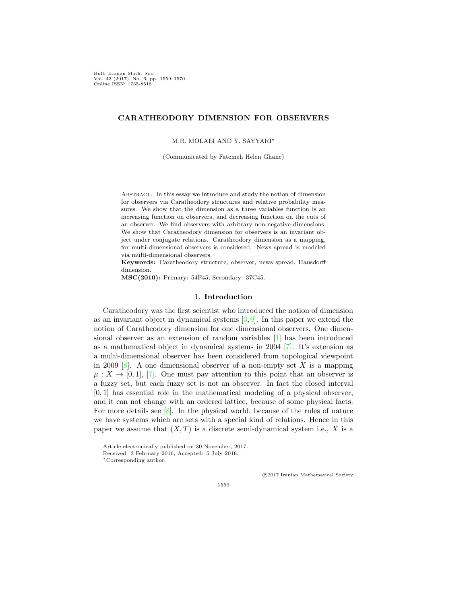Bull. Iranian Math. Soc. Vol. 43 (2017), No. 6, pp. 1559–1570 Online ISSN: 1735-8515

# **CARATHEODORY DIMENSION FOR OBSERVERS**

M.R. MOLAEI AND Y. SAYYARI*∗*

(Communicated by Fatemeh Helen Ghane)

Abstract. In this essay we introduce and study the notion of dimension for observers via Caratheodory structures and relative probability measures. We show that the dimension as a three variables function is an increasing function on observers, and decreasing function on the cuts of an observer. We find observers with arbitrary non-negative dimensions. We show that Caratheodory dimension for observers is an invariant object under conjugate relations. Caratheodory dimension as a mapping, for multi-dimensional observers is considered. News spread is modeled via multi-dimensional observers.

**Keywords:** Caratheodory structure, observer, news spread, Hausdorff dimension.

**MSC(2010):** Primary: 54F45; Secondary: 37C45.

## 1. **Introduction**

Caratheodory was the first scientist who introduced the notion of dimension as an invariant object in dynamical systems [\[3](#page-11-0),[9](#page-12-0)]. In this paper we extend the notion of Caratheodory dimension for one dimensional observers. One dimensional observer as an extension of random variables [[1](#page-11-1)] has been introduced as a mathematical object in dynamical systems in 2004 [[7](#page-12-1)]. It's extension as a multi-dimensional observer has been considered from topological viewpoint in 2009  $[8]$  $[8]$ . A one dimensional observer of a non-empty set X is a mapping  $\mu: X \to [0,1], [7]$  $\mu: X \to [0,1], [7]$ . One must pay attention to this point that an observer is a fuzzy set, but each fuzzy set is not an observer. In fact the closed interval [0*,* 1] has essential role in the mathematical modeling of a physical observer, and it can not change with an ordered lattice, because of some physical facts. For more details see [[8\]](#page-12-2). In the physical world, because of the rules of nature we have systems which are sets with a special kind of relations. Hence in this paper we assume that  $(X, T)$  is a discrete semi-dynamical system i.e., X is a

*⃝*c 2017 Iranian Mathematical Society

Article electronically published on 30 November, 2017.

Received: 3 February 2016, Accepted: 5 July 2016.

*<sup>∗</sup>*Corresponding author.

<sup>1559</sup>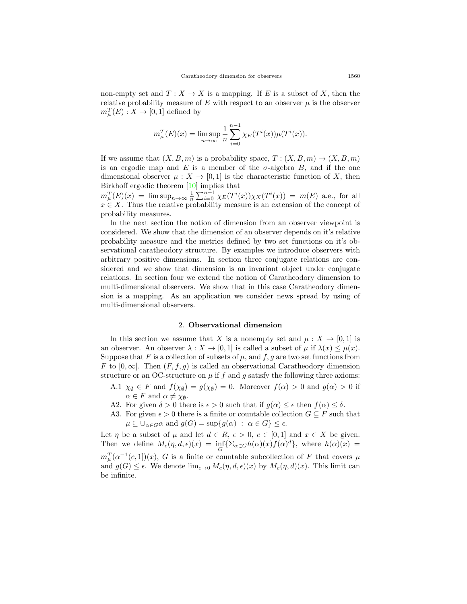non-empty set and  $T: X \to X$  is a mapping. If *E* is a subset of *X*, then the relative probability measure of  $E$  with respect to an observer  $\mu$  is the observer  $m_{\mu}^{T}(E): X \rightarrow [0, 1]$  defined by

$$
m_{\mu}^{T}(E)(x) = \limsup_{n \to \infty} \frac{1}{n} \sum_{i=0}^{n-1} \chi_{E}(T^{i}(x))\mu(T^{i}(x)).
$$

If we assume that  $(X, B, m)$  is a probability space,  $T : (X, B, m) \to (X, B, m)$ is an ergodic map and  $E$  is a member of the  $\sigma$ -algebra  $B$ , and if the one dimensional observer  $\mu: X \to [0,1]$  is the characteristic function of *X*, then Birkhoff ergodic theorem [[10\]](#page-12-3) implies that

 $m_{\mu}^{T}(E)(x) = \limsup_{n \to \infty} \frac{1}{n} \sum_{i=0}^{n-1} \chi_{E}(T^{i}(x)) \chi_{X}(T^{i}(x)) = m(E)$  a.e., for all *x ∈ X*. Thus the relative probability measure is an extension of the concept of probability measures.

In the next section the notion of dimension from an observer viewpoint is considered. We show that the dimension of an observer depends on it's relative probability measure and the metrics defined by two set functions on it's observational caratheodory structure. By examples we introduce observers with arbitrary positive dimensions. In section three conjugate relations are considered and we show that dimension is an invariant object under conjugate relations. In section four we extend the notion of Caratheodory dimension to multi-dimensional observers. We show that in this case Caratheodory dimension is a mapping. As an application we consider news spread by using of multi-dimensional observers.

#### 2. **Observational dimension**

In this section we assume that *X* is a nonempty set and  $\mu : X \to [0,1]$  is an observer. An observer  $\lambda : X \to [0,1]$  is called a subset of  $\mu$  if  $\lambda(x) \leq \mu(x)$ . Suppose that  $F$  is a collection of subsets of  $\mu$ , and  $f, g$  are two set functions from *F* to  $[0, \infty]$ . Then  $(F, f, q)$  is called an observational Caratheodory dimension structure or an OC-structure on  $\mu$  if  $f$  and  $g$  satisfy the following three axioms:

- A.1  $\chi_{\emptyset} \in F$  and  $f(\chi_{\emptyset}) = g(\chi_{\emptyset}) = 0$ . Moreover  $f(\alpha) > 0$  and  $g(\alpha) > 0$  if  $\alpha \in F$  and  $\alpha \neq \chi_{\emptyset}$ .
- A2. For given  $\delta > 0$  there is  $\epsilon > 0$  such that if  $g(\alpha) \leq \epsilon$  then  $f(\alpha) \leq \delta$ .
- A3. For given  $\epsilon > 0$  there is a finite or countable collection  $G \subseteq F$  such that  $\mu \subseteq \bigcup_{\alpha \in G} \alpha$  and  $g(G) = \sup\{g(\alpha) : \alpha \in G\} \leq \epsilon$ .

Let *η* be a subset of  $\mu$  and let  $d \in R$ ,  $\epsilon > 0$ ,  $c \in [0,1]$  and  $x \in X$  be given. Then we define  $M_c(\eta, d, \epsilon)(x) = \inf_G \{ \sum_{\alpha \in G} h(\alpha)(x) f(\alpha)^d \}$ , where  $h(\alpha)(x) =$  $m_{\mu}^{T}(\alpha^{-1}(c, 1))(x)$ , *G* is a finite or countable subcollection of *F* that covers  $\mu$ and  $g(G) \leq \epsilon$ . We denote  $\lim_{\epsilon \to 0} M_c(\eta, d, \epsilon)(x)$  by  $M_c(\eta, d)(x)$ . This limit can

be infinite.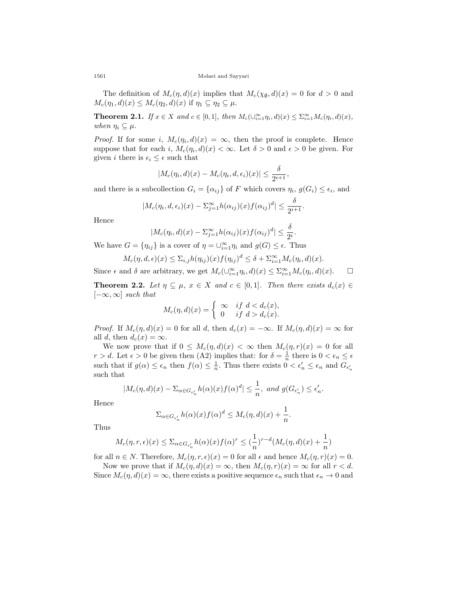The definition of  $M_c(\eta, d)(x)$  implies that  $M_c(\chi_{\emptyset}, d)(x) = 0$  for  $d > 0$  and  $M_c(\eta_1, d)(x) \leq M_c(\eta_2, d)(x)$  if  $\eta_1 \subseteq \eta_2 \subseteq \mu$ .

**Theorem 2.1.** If  $x \in X$  and  $c \in [0,1]$ , then  $M_c(\bigcup_{i=1}^{\infty} \eta_i, d)(x) \leq \sum_{i=1}^{\infty} M_c(\eta_i, d)(x)$ , *when*  $\eta_i \subseteq \mu$ *.* 

*Proof.* If for some *i*,  $M_c(\eta_i, d)(x) = \infty$ , then the proof is complete. Hence suppose that for each *i*,  $M_c(\eta_i, d)(x) < \infty$ . Let  $\delta > 0$  and  $\epsilon > 0$  be given. For given *i* there is  $\epsilon_i \leq \epsilon$  such that

$$
|M_c(\eta_i, d)(x) - M_c(\eta_i, d, \epsilon_i)(x)| \le \frac{\delta}{2^{i+1}},
$$

and there is a subcollection  $G_i = \{\alpha_{ij}\}\$  of *F* which covers  $\eta_i, g(G_i) \leq \epsilon_i$ , and

$$
|M_c(\eta_i, d, \epsilon_i)(x) - \Sigma_{j=1}^{\infty} h(\alpha_{ij})(x) f(\alpha_{ij})^d| \leq \frac{\delta}{2^{i+1}}.
$$

Hence

$$
|M_c(\eta_i, d)(x) - \sum_{j=1}^{\infty} h(\alpha_{ij})(x) f(\alpha_{ij})^d| \le \frac{\delta}{2^i}.
$$

We have  $G = \{\eta_{ij}\}\$ is a cover of  $\eta = \bigcup_{i=1}^{\infty} \eta_i$  and  $g(G) \leq \epsilon$ . Thus

$$
M_c(\eta, d, \epsilon)(x) \le \sum_{i,j} h(\eta_{ij})(x) f(\eta_{ij})^d \le \delta + \sum_{i=1}^{\infty} M_c(\eta_i, d)(x).
$$

Since  $\epsilon$  and  $\delta$  are arbitrary, we get  $M_c(\cup_{i=1}^{\infty} \eta_i, d)(x) \le \sum_{i=1}^{\infty} M_c(\eta_i, d)(x)$ .  $\Box$ 

<span id="page-3-0"></span>**Theorem 2.2.** *Let*  $\eta \subseteq \mu$ ,  $x \in X$  *and*  $c \in [0,1]$ *. Then there exists*  $d_c(x) \in$ [*−∞, ∞*] *such that*

$$
M_c(\eta, d)(x) = \begin{cases} \infty & \text{if } d < d_c(x), \\ 0 & \text{if } d > d_c(x). \end{cases}
$$

*Proof.* If  $M_c(\eta, d)(x) = 0$  for all *d*, then  $d_c(x) = -\infty$ . If  $M_c(\eta, d)(x) = \infty$  for all *d*, then  $d_c(x) = \infty$ .

We now prove that if  $0 \leq M_c(\eta, d)(x) < \infty$  then  $M_c(\eta, r)(x) = 0$  for all *r* > *d*. Let  $\epsilon$  > 0 be given then (A2) implies that: for  $\delta = \frac{1}{n}$  there is  $0 < \epsilon_n \leq \epsilon$ such that if  $g(\alpha) \leq \epsilon_n$  then  $f(\alpha) \leq \frac{1}{n}$ . Thus there exists  $0 < \epsilon'_n \leq \epsilon_n$  and  $G_{\epsilon'_n}$ such that

$$
|M_c(\eta, d)(x) - \Sigma_{\alpha \in G_{\epsilon'_n}} h(\alpha)(x) f(\alpha)^d| \le \frac{1}{n}, \text{ and } g(G_{\epsilon'_n}) \le \epsilon'_n.
$$

Hence

$$
\sum_{\alpha \in G_{\epsilon'_n}} h(\alpha)(x) f(\alpha)^d \le M_c(\eta, d)(x) + \frac{1}{n}.
$$

Thus

$$
M_c(\eta, r, \epsilon)(x) \le \sum_{\alpha \in G_{\epsilon'_n}} h(\alpha)(x) f(\alpha)^r \le (\frac{1}{n})^{r-d} (M_c(\eta, d)(x) + \frac{1}{n})
$$

for all  $n \in N$ . Therefore,  $M_c(\eta, r, \epsilon)(x) = 0$  for all  $\epsilon$  and hence  $M_c(\eta, r)(x) = 0$ .

Now we prove that if  $M_c(\eta, d)(x) = \infty$ , then  $M_c(\eta, r)(x) = \infty$  for all  $r < d$ . Since  $M_c(\eta, d)(x) = \infty$ , there exists a positive sequence  $\epsilon_n$  such that  $\epsilon_n \to 0$  and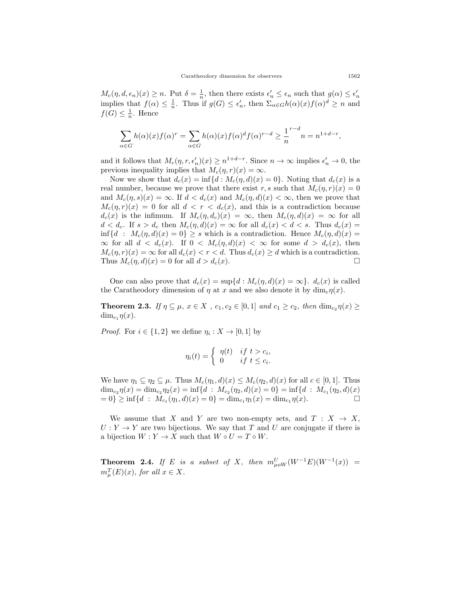$M_c(\eta, d, \epsilon_n)(x) \ge n$ . Put  $\delta = \frac{1}{n}$ , then there exists  $\epsilon'_n \le \epsilon_n$  such that  $g(\alpha) \le \epsilon'_n$ implies that  $f(\alpha) \leq \frac{1}{n}$ . Thus if  $g(G) \leq \epsilon'_n$ , then  $\Sigma_{\alpha \in G} h(\alpha)(x) f(\alpha)^d \geq n$  and  $f(G) \leq \frac{1}{n}$ . Hence

$$
\sum_{\alpha \in G} h(\alpha)(x) f(\alpha)^r = \sum_{\alpha \in G} h(\alpha)(x) f(\alpha)^d f(\alpha)^{r-d} \ge \frac{1}{n}^{r-d} n = n^{1+d-r},
$$

and it follows that  $M_c(\eta, r, \epsilon'_n)(x) \ge n^{1+d-r}$ . Since  $n \to \infty$  implies  $\epsilon'_n \to 0$ , the previous inequality implies that  $M_c(\eta, r)(x) = \infty$ .

Now we show that  $d_c(x) = \inf\{d : M_c(\eta, d)(x) = 0\}$ . Noting that  $d_c(x)$  is a real number, because we prove that there exist *r*, *s* such that  $M_c(\eta, r)(x) = 0$ and  $M_c(\eta, s)(x) = \infty$ . If  $d < d_c(x)$  and  $M_c(\eta, d)(x) < \infty$ , then we prove that  $M_c(\eta, r)(x) = 0$  for all  $d < r < d_c(x)$ , and this is a contradiction because  $d_c(x)$  is the infimum. If  $M_c(\eta, d_c)(x) = \infty$ , then  $M_c(\eta, d)(x) = \infty$  for all  $d < d_c$ . If  $s > d_c$  then  $M_c(\eta, d)(x) = \infty$  for all  $d_c(x) < d < s$ . Thus  $d_c(x) =$ inf{ $d$  :  $M_c(\eta, d)(x) = 0$ }  $\geq s$  which is a contradiction. Hence  $M_c(\eta, d)(x) =$  $\infty$  for all  $d < d_c(x)$ . If  $0 < M_c(\eta, d)(x) < \infty$  for some  $d > d_c(x)$ , then  $M_c(\eta, r)(x) = \infty$  for all  $d_c(x) < r < d$ . Thus  $d_c(x) \ge d$  which is a contradiction. Thus  $M_c(\eta, d)(x) = 0$  for all  $d > d_c(x)$ .

One can also prove that  $d_c(x) = \sup\{d : M_c(\eta, d)(x) = \infty\}$ .  $d_c(x)$  is called the Caratheodory dimension of  $\eta$  at  $x$  and we also denote it by dim<sub>c</sub> $\eta(x)$ .

**Theorem 2.3.** If  $\eta \subseteq \mu$ ,  $x \in X$ ,  $c_1, c_2 \in [0,1]$  and  $c_1 \ge c_2$ , then  $\dim_{c_2} \eta(x) \ge$ dim<sub>c<sub>1</sub></sub> $\eta(x)$ .

*Proof.* For  $i \in \{1, 2\}$  we define  $\eta_i : X \to [0, 1]$  by

$$
\eta_i(t) = \begin{cases} \eta(t) & \text{if } t > c_i, \\ 0 & \text{if } t \leq c_i. \end{cases}
$$

We have  $\eta_1 \subseteq \eta_2 \subseteq \mu$ . Thus  $M_c(\eta_1, d)(x) \leq M_c(\eta_2, d)(x)$  for all  $c \in [0, 1]$ . Thus  $\dim_{c_2}\eta(x) = \dim_{c_2}\eta_2(x) = \inf\{d : M_{c_2}(\eta_2, d)(x) = 0\} = \inf\{d : M_{c_1}(\eta_2, d)(x)\}$  $= 0$   $\geq \inf \{ d : M_{c_1}(\eta_1, d)(x) = 0 \} = \dim_{c_1} \eta_1(x) = \dim_{c_1} \eta(x)$ .

We assume that *X* and *Y* are two non-empty sets, and  $T: X \rightarrow X$ ,  $U: Y \to Y$  are two bijections. We say that *T* and *U* are conjugate if there is a bijection  $W: Y \to X$  such that  $W \circ U = T \circ W$ .

<span id="page-4-0"></span>**Theorem 2.4.** If E is a subset of X, then  $m_{\mu\omega W}^U(W^{-1}E)(W^{-1}(x))$  =  $m_{\mu}^{T}(E)(x)$ *, for all*  $x \in X$ *.*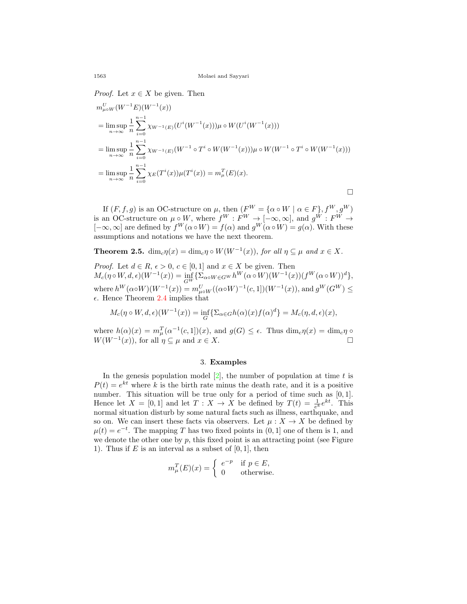*Proof.* Let  $x \in X$  be given. Then

$$
m_{\mu\circ W}^{U}(W^{-1}E)(W^{-1}(x))
$$
  
= 
$$
\limsup_{n\to\infty}\frac{1}{n}\sum_{i=0}^{n-1}\chi_{W^{-1}(E)}(U^{i}(W^{-1}(x)))\mu\circ W(U^{i}(W^{-1}(x)))
$$
  
= 
$$
\limsup_{n\to\infty}\frac{1}{n}\sum_{i=0}^{n-1}\chi_{W^{-1}(E)}(W^{-1}\circ T^{i}\circ W(W^{-1}(x)))\mu\circ W(W^{-1}\circ T^{i}\circ W(W^{-1}(x)))
$$
  
= 
$$
\limsup_{n\to\infty}\frac{1}{n}\sum_{i=0}^{n-1}\chi_{E}(T^{i}(x))\mu(T^{i}(x)) = m_{\mu}^{T}(E)(x).
$$

If  $(F, f, g)$  is an OC-structure on  $\mu$ , then  $(F^W = {\alpha \circ W \mid \alpha \in F}, f^W, g^W)$ is an OC-structure on  $\mu \circ W$ , where  $f^W : F^W \to [-\infty, \infty]$ , and  $g^W : F^W \to$  $[-\infty, \infty]$  are defined by  $f^W(\alpha \circ W) = f(\alpha)$  and  $g^W(\alpha \circ W) = g(\alpha)$ . With these assumptions and notations we have the next theorem.

**Theorem 2.5.**  $\dim_c \eta(x) = \dim_c \eta \circ W(W^{-1}(x))$ , for all  $\eta \subseteq \mu$  and  $x \in X$ .

*Proof.* Let  $d \in R$ ,  $\epsilon > 0$ ,  $c \in [0,1]$  and  $x \in X$  be given. Then  $M_c(\eta \circ W, d, \epsilon)(W^{-1}(x)) = \inf_{GW} {\sum_{\alpha \circ W \in G^W} h^W(\alpha \circ W)(W^{-1}(x))(f^W(\alpha \circ W))^d},$ where  $h^W(\alpha \circ W)(W^{-1}(x)) = m_{\mu \circ W}^U((\alpha \circ W)^{-1}(c, 1])(W^{-1}(x)),$  and  $g^W(G^W) \le$  $\epsilon$ . Hence Theorem [2.4](#page-4-0) implies that

$$
M_c(\eta \circ W, d, \epsilon)(W^{-1}(x)) = \inf_G \{ \Sigma_{\alpha \in G} h(\alpha)(x) f(\alpha)^d \} = M_c(\eta, d, \epsilon)(x),
$$

where  $h(\alpha)(x) = m_{\mu}^{T}(\alpha^{-1}(c, 1))(x)$ , and  $g(G) \leq \epsilon$ . Thus  $\dim_{c}\eta(x) = \dim_{c}\eta \circ$  $W(W^{-1}(x))$ , for all  $\eta \subseteq \mu$  and  $x \in X$ .

#### 3. **Examples**

In the genesis population model  $[2]$  $[2]$ , the number of population at time  $t$  is  $P(t) = e^{kt}$  where *k* is the birth rate minus the death rate, and it is a positive number. This situation will be true only for a period of time such as  $[0, 1]$ . Hence let  $X = [0, 1]$  and let  $T : X \to X$  be defined by  $T(t) = \frac{1}{e^k} e^{kt}$ . This normal situation disturb by some natural facts such as illness, earthquake, and so on. We can insert these facts via observers. Let  $\mu : X \to X$  be defined by  $\mu(t) = e^{-t}$ . The mapping *T* has two fixed points in  $(0, 1]$  one of them is 1, and we denote the other one by  $p$ , this fixed point is an attracting point (see Figure 1). Thus if  $E$  is an interval as a subset of  $[0, 1]$ , then

$$
m^T_{\mu}(E)(x) = \begin{cases} e^{-p} & \text{if } p \in E, \\ 0 & \text{otherwise.} \end{cases}
$$

 $U$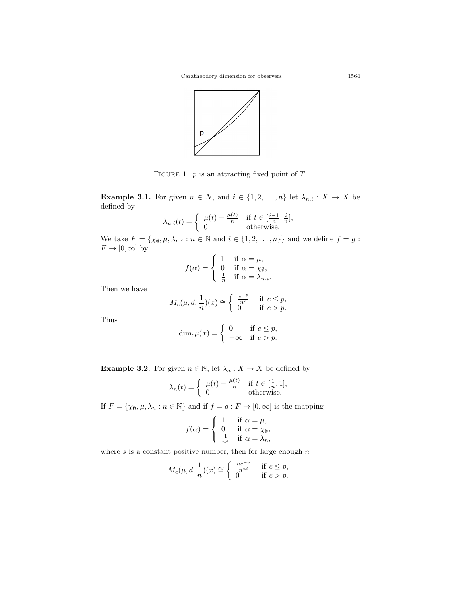Caratheodory dimension for observers 1564



Figure 1. *p* is an attracting fixed point of *T*.

**Example 3.1.** For given  $n \in N$ , and  $i \in \{1, 2, \ldots, n\}$  let  $\lambda_{n,i} : X \to X$  be defined by

$$
\lambda_{n,i}(t) = \begin{cases} \mu(t) - \frac{\mu(t)}{n} & \text{if } t \in [\frac{i-1}{n}, \frac{i}{n}],\\ 0 & \text{otherwise.} \end{cases}
$$

We take  $F = \{\chi_{\emptyset}, \mu, \lambda_{n,i} : n \in \mathbb{N} \text{ and } i \in \{1, 2, ..., n\}\}\$ and we define  $f = g$ :  $F \to [0, \infty]$  by

$$
f(\alpha) = \begin{cases} 1 & \text{if } \alpha = \mu, \\ 0 & \text{if } \alpha = \chi_{\emptyset}, \\ \frac{1}{n} & \text{if } \alpha = \lambda_{n,i}. \end{cases}
$$

Then we have

$$
M_c(\mu, d, \frac{1}{n})(x) \cong \begin{cases} \frac{e^{-p}}{n^d} & \text{if } c \le p, \\ 0 & \text{if } c > p. \end{cases}
$$

Thus

$$
\dim_c \mu(x) = \begin{cases} 0 & \text{if } c \leq p, \\ -\infty & \text{if } c > p. \end{cases}
$$

**Example 3.2.** For given  $n \in \mathbb{N}$ , let  $\lambda_n : X \to X$  be defined by

$$
\lambda_n(t) = \begin{cases} \mu(t) - \frac{\mu(t)}{n} & \text{if } t \in [\frac{1}{n}, 1], \\ 0 & \text{otherwise.} \end{cases}
$$

If  $F = \{\chi_{\emptyset}, \mu, \lambda_n : n \in \mathbb{N}\}\$ and if  $f = g : F \to [0, \infty]$  is the mapping

$$
f(\alpha) = \begin{cases} 1 & \text{if } \alpha = \mu, \\ 0 & \text{if } \alpha = \chi_{\emptyset}, \\ \frac{1}{n^s} & \text{if } \alpha = \lambda_n, \end{cases}
$$

where *s* is a constant positive number, then for large enough *n* 

$$
M_c(\mu, d, \frac{1}{n})(x) \cong \begin{cases} \frac{ne^{-p}}{n^{sd}} & \text{if } c \leq p, \\ 0 & \text{if } c > p. \end{cases}
$$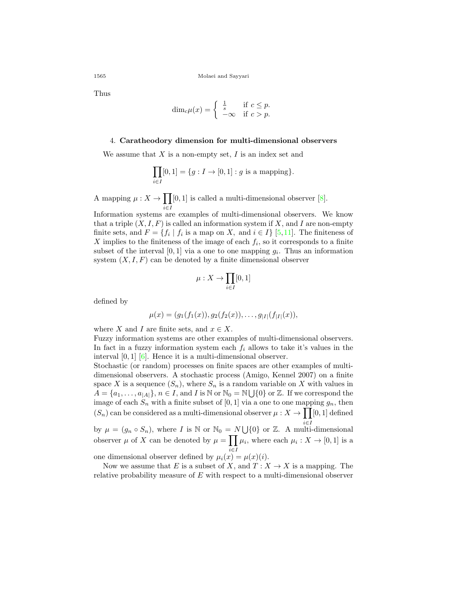Thus

$$
\dim_c \mu(x) = \begin{cases} \frac{1}{s} & \text{if } c \le p. \\ -\infty & \text{if } c > p. \end{cases}
$$

### 4. **Caratheodory dimension for multi-dimensional observers**

We assume that *X* is a non-empty set, *I* is an index set and

$$
\prod_{i\in I}[0,1]=\{g: I\rightarrow [0,1]: g \text{ is a mapping}\}.
$$

A mapping  $\mu: X \to \prod[0,1]$  is called a multi-dimensional observer [\[8](#page-12-2)].

*i∈I* Information systems are examples of multi-dimensional observers. We know that a triple  $(X, I, F)$  is called an information system if X, and I are non-empty finite sets, and  $F = \{f_i \mid f_i \text{ is a map on } X, \text{ and } i \in I\}$  [[5,](#page-11-3)[11](#page-12-4)]. The finiteness of *X* implies to the finiteness of the image of each *f<sup>i</sup>* , so it corresponds to a finite subset of the interval  $[0, 1]$  via a one to one mapping  $g_i$ . Thus an information system  $(X, I, F)$  can be denoted by a finite dimensional observer

$$
\mu: X \to \prod_{i \in I} [0,1]
$$

defined by

$$
\mu(x) = (g_1(f_1(x)), g_2(f_2(x)), \ldots, g_{|I|}(f_{|I|}(x)),
$$

where *X* and *I* are finite sets, and  $x \in X$ .

Fuzzy information systems are other examples of multi-dimensional observers. In fact in a fuzzy information system each  $f_i$  allows to take it's values in the interval [0*,* 1] [\[6](#page-11-4)]. Hence it is a multi-dimensional observer.

Stochastic (or random) processes on finite spaces are other examples of multidimensional observers. A stochastic process (Amigo, Kennel 2007) on a finite space X is a sequence  $(S_n)$ , where  $S_n$  is a random variable on X with values in  $A = \{a_1, \ldots, a_{|A|}\}, n \in I$ , and *I* is N or  $N_0 = N \bigcup \{0\}$  or Z. If we correspond the image of each  $S_n$  with a finite subset of  $[0, 1]$  via a one to one mapping  $g_n$ , then  $(S_n)$  can be considered as a multi-dimensional observer  $\mu: X \to \prod[0,1]$  defined by  $\mu = (g_n \circ S_n)$ , where *I* is N or  $\mathbb{N}_0 = N \cup \{0\}$  or Z. A multi-dimensional

observer  $\mu$  of *X* can be denoted by  $\mu = \prod \mu_i$ , where each  $\mu_i : X \to [0,1]$  is a one dimensional observer defined by  $\mu_i(x) = \mu(x)(i)$ .

Now we assume that *E* is a subset of *X*, and  $T: X \to X$  is a mapping. The

relative probability measure of *E* with respect to a multi-dimensional observer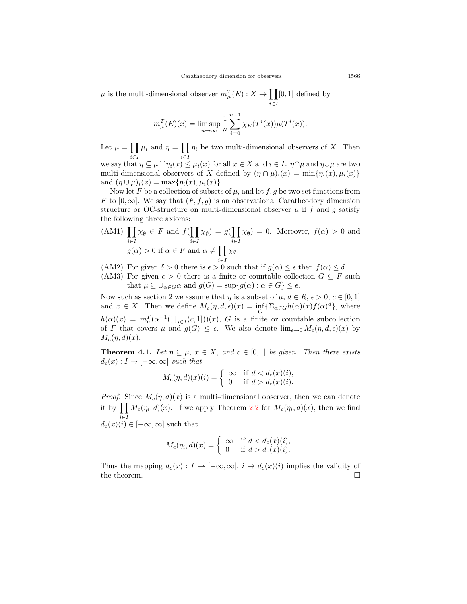$\mu$  is the multi-dimensional observer  $m_{\mu}^{T}(E) : X \to \prod$ *i∈I* [0*,* 1] defined by

$$
m_{\mu}^{T}(E)(x) = \limsup_{n \to \infty} \frac{1}{n} \sum_{i=0}^{n-1} \chi_{E}(T^{i}(x))\mu(T^{i}(x)).
$$

Let  $\mu = \prod \mu_i$  and  $\eta = \prod \eta_i$  be two multi-dimensional observers of *X*. Then we say that  $\eta \subseteq \mu$  if  $\eta_i(x) \leq \mu_i(x)$  for all  $x \in X$  and  $i \in I$ .  $\eta \cap \mu$  and  $\eta \cup \mu$  are two

multi-dimensional observers of *X* defined by  $(\eta \cap \mu)_i(x) = \min{\{\eta_i(x), \mu_i(x)\}}$ and  $(\eta \cup \mu)_i(x) = \max{\{\eta_i(x), \mu_i(x)\}}$ .

Now let *F* be a collection of subsets of  $\mu$ , and let *f*, *g* be two set functions from *F* to  $[0, \infty]$ . We say that  $(F, f, g)$  is an observational Caratheodory dimension structure or OC-structure on multi-dimensional observer  $\mu$  if  $f$  and  $g$  satisfy the following three axioms:

$$
\text{(AM1)} \prod_{i \in I} \chi_{\emptyset} \in F \text{ and } f(\prod_{i \in I} \chi_{\emptyset}) = g(\prod_{i \in I} \chi_{\emptyset}) = 0. \text{ Moreover, } f(\alpha) > 0 \text{ and}
$$
\n
$$
g(\alpha) > 0 \text{ if } \alpha \in F \text{ and } \alpha \neq \prod_{i \in I} \chi_{\emptyset}.
$$

(AM2) For given  $\delta > 0$  there is  $\epsilon > 0$  such that if  $g(\alpha) \leq \epsilon$  then  $f(\alpha) \leq \delta$ .

(AM3) For given  $\epsilon > 0$  there is a finite or countable collection  $G \subseteq F$  such that  $\mu \subseteq \bigcup_{\alpha \in G} \alpha$  and  $g(G) = \sup\{g(\alpha) : \alpha \in G\} \leq \epsilon$ .

Now such as section 2 we assume that  $\eta$  is a subset of  $\mu$ ,  $d \in R$ ,  $\epsilon > 0$ ,  $c \in [0, 1]$ and  $x \in X$ . Then we define  $M_c(\eta, d, \epsilon)(x) = \inf_G \{ \sum_{\alpha \in G} h(\alpha)(x) f(\alpha)^d \}$ , where  $h(\alpha)(x) = m_{\mu}^T(\alpha^{-1}(\prod_{i \in I}(c, 1]))(x), G$  is a finite or countable subcollection of *F* that covers  $\mu$  and  $g(G) \leq \epsilon$ . We also denote  $\lim_{\epsilon \to 0} M_c(\eta, d, \epsilon)(x)$  by  $M_c(\eta, d)(x)$ .

**Theorem 4.1.** *Let*  $\eta \subseteq \mu$ ,  $x \in X$ , and  $c \in [0,1]$  *be given. Then there exists*  $d_c(x): I \to [-\infty, \infty]$  *such that* 

$$
M_c(\eta, d)(x)(i) = \begin{cases} \infty & \text{if } d < d_c(x)(i), \\ 0 & \text{if } d > d_c(x)(i). \end{cases}
$$

*Proof.* Since  $M_c(\eta, d)(x)$  is a multi-dimensional observer, then we can denote it by  $\prod M_c(\eta_i, d)(x)$ . If we apply Theorem [2.2](#page-3-0) for  $M_c(\eta_i, d)(x)$ , then we find  $d_c(x)(i) \in [-\infty, \infty]$  such that

$$
M_c(\eta_i, d)(x) = \begin{cases} \infty & \text{if } d < d_c(x)(i), \\ 0 & \text{if } d > d_c(x)(i). \end{cases}
$$

Thus the mapping  $d_c(x) : I \to [-\infty, \infty], i \mapsto d_c(x)(i)$  implies the validity of the theorem.  $\Box$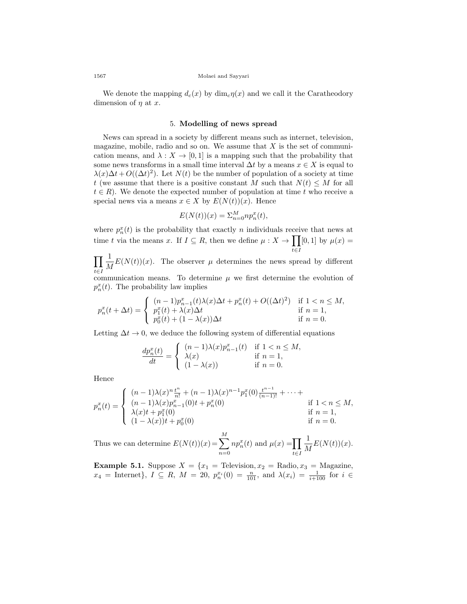We denote the mapping  $d_c(x)$  by  $\dim_c \eta(x)$  and we call it the Caratheodory dimension of *η* at *x*.

## 5. **Modelling of news spread**

News can spread in a society by different means such as internet, television, magazine, mobile, radio and so on. We assume that *X* is the set of communication means, and  $\lambda : X \to [0,1]$  is a mapping such that the probability that some news transforms in a small time interval  $\Delta t$  by a means  $x \in X$  is equal to  $\lambda(x)\Delta t + O((\Delta t)^2)$ . Let *N*(*t*) be the number of population of a society at time *t* (we assume that there is a positive constant *M* such that  $N(t) \leq M$  for all  $t \in R$ ). We denote the expected number of population at time  $t$  who receive a special news via a means  $x \in X$  by  $E(N(t))(x)$ . Hence

$$
E(N(t))(x) = \sum_{n=0}^{M} n p_n^x(t),
$$

where  $p_n^x(t)$  is the probability that exactly *n* individuals receive that news at time *t* via the means *x*. If  $I \subseteq R$ , then we define  $\mu : X \to \prod$ *t∈I*  $[0, 1]$  by  $\mu(x) =$ 

 $\Pi\stackrel{1}{=}$  $\iota \in I$ <sup>---</sup><br>communication means. To determine  $\mu$  we first determine the evolution of  $\frac{1}{M}E(N(t))(x)$ . The observer  $\mu$  determines the news spread by different

 $p_n^x(t)$ . The probability law implies

$$
p_n^x(t + \Delta t) = \begin{cases} (n-1)p_{n-1}^x(t)\lambda(x)\Delta t + p_n^x(t) + O((\Delta t)^2) & \text{if } 1 < n \le M, \\ p_1^x(t) + \lambda(x)\Delta t & \text{if } n = 1, \\ p_0^x(t) + (1 - \lambda(x))\Delta t & \text{if } n = 0. \end{cases}
$$

Letting  $\Delta t \rightarrow 0$ , we deduce the following system of differential equations

$$
\frac{dp_n^x(t)}{dt} = \begin{cases} (n-1)\lambda(x)p_{n-1}^x(t) & \text{if } 1 < n \le M, \\ \lambda(x) & \text{if } n = 1, \\ (1 - \lambda(x)) & \text{if } n = 0. \end{cases}
$$

Hence

$$
p_n^x(t) = \begin{cases} (n-1)\lambda(x)^n \frac{t^n}{n!} + (n-1)\lambda(x)^{n-1} p_1^x(0) \frac{t^{n-1}}{(n-1)!} + \cdots + \\ (n-1)\lambda(x) p_{n-1}^x(0) + p_n^x(0) & \text{if } 1 < n \le M, \\ \lambda(x)t + p_1^x(0) & \text{if } n = 1, \\ (1 - \lambda(x))t + p_0^x(0) & \text{if } n = 0. \end{cases}
$$

Thus we can determine  $E(N(t))(x) = \sum_{n=1}^{M}$ *n*=0  $np_n^x(t)$  and  $\mu(x) = \prod$ *t∈I* 1  $\frac{1}{M}E(N(t))(x).$ 

**Example 5.1.** Suppose  $X = \{x_1 = \text{Televation}, x_2 = \text{Radio}, x_3 = \text{Magazine},\}$  $x_4$  = Internet},  $I \subseteq R$ ,  $M = 20$ ,  $p_n^{x_i}(0) = \frac{n}{101}$ , and  $\lambda(x_i) = \frac{1}{i+100}$  for  $i \in$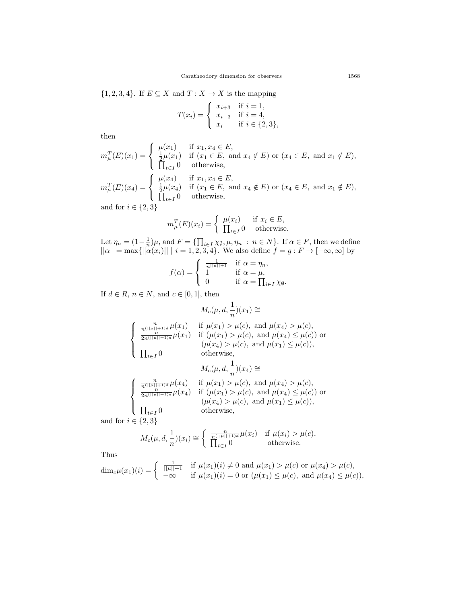$\{1, 2, 3, 4\}$ . If  $E \subseteq X$  and  $T : X \to X$  is the mapping

$$
T(x_i) = \begin{cases} x_{i+3} & \text{if } i = 1, \\ x_{i-3} & \text{if } i = 4, \\ x_i & \text{if } i \in \{2, 3\}, \end{cases}
$$

then

$$
m_{\mu}^{T}(E)(x_{1}) = \begin{cases} \mu(x_{1}) & \text{if } x_{1}, x_{4} \in E, \\ \frac{1}{2}\mu(x_{1}) & \text{if } (x_{1} \in E, \text{ and } x_{4} \notin E) \text{ or } (x_{4} \in E, \text{ and } x_{1} \notin E), \\ \prod_{t \in I} 0 & \text{otherwise,} \end{cases}
$$

 $m_{\mu}^{T}(E)(x_{4}) =$  $\mathsf{I}$  $\mathbf{I}$  $\mu(x_4)$  if  $x_1, x_4 \in E$ ,<br>  $\frac{1}{2}\mu(x_4)$  if  $(x_1 \in E, \text{ a})$ <br>  $\prod_{i \in I} 0$  otherwise.  $\mu(x_4)$  if  $(x_1 \in E$ , and  $x_4 \notin E$  or  $(x_4 \in E$ , and  $x_1 \notin E)$ , *t∈I* 0 otherwise*,*

and for  $i \in \{2, 3\}$ 

$$
m_{\mu}^{T}(E)(x_{i}) = \begin{cases} \mu(x_{i}) & \text{if } x_{i} \in E, \\ \prod_{t \in I} 0 & \text{otherwise.} \end{cases}
$$

Let  $\eta_n = (1 - \frac{1}{n})\mu$ , and  $F = \{\prod_{i \in I} \chi_{\emptyset}, \mu, \eta_n : n \in N\}$ . If  $\alpha \in F$ , then we define  $||\alpha|| = \max{||\alpha(x_i)|| \mid i = 1, 2, 3, 4}.$  We also define  $f = g : F \to [-\infty, \infty]$  by

$$
f(\alpha) = \begin{cases} \frac{1}{n^{||\mu||+1}} & \text{if } \alpha = \eta_n, \\ 1 & \text{if } \alpha = \mu, \\ 0 & \text{if } \alpha = \prod_{i \in I} \chi_{\emptyset}. \end{cases}
$$

If  $d \in R$ ,  $n \in N$ , and  $c \in [0, 1]$ , then

$$
M_c(\mu,d,\frac{1}{n})(x_1)\cong
$$

$$
\begin{cases}\n\frac{n}{n^{(||\mu||+1)d}} \mu(x_1) & \text{if } \mu(x_1) > \mu(c), \text{ and } \mu(x_4) > \mu(c), \\
\frac{n}{2n^{(||\mu||+1)d}} \mu(x_1) & \text{if } (\mu(x_1) > \mu(c), \text{ and } \mu(x_4) \leq \mu(c)) \text{ or } \\
(\mu(x_4) > \mu(c), \text{ and } \mu(x_1) \leq \mu(c)), \\
\prod_{t \in I} 0 & \text{otherwise,} \n\end{cases}
$$

$$
M_c(\mu, d, \frac{1}{n})(x_4) \cong
$$

$$
\begin{cases}\n\frac{n}{n(|\mu||+1)d}\mu(x_4) & \text{if } \mu(x_1) > \mu(c), \text{ and } \mu(x_4) > \mu(c), \\
\frac{n}{2n(|\mu||+1)d}\mu(x_4) & \text{if } (\mu(x_1) > \mu(c), \text{ and } \mu(x_4) \leq \mu(c)) \text{ or } \\
(\mu(x_4) > \mu(c), \text{ and } \mu(x_1) \leq \mu(c)), \\
\prod_{t \in I} 0 & \text{otherwise,} \n\end{cases}
$$

and for  $i \in \{2, 3\}$ 

$$
M_c(\mu, d, \frac{1}{n})(x_i) \cong \begin{cases} \frac{n}{n(\|\mu\| + 1)d} \mu(x_i) & \text{if } \mu(x_i) > \mu(c), \\ \prod_{t \in I} 0 & \text{otherwise.} \end{cases}
$$

Thus

$$
\dim_c \mu(x_1)(i) = \begin{cases} \frac{1}{||\mu||+1} & \text{if } \mu(x_1)(i) \neq 0 \text{ and } \mu(x_1) > \mu(c) \text{ or } \mu(x_4) > \mu(c), \\ -\infty & \text{if } \mu(x_1)(i) = 0 \text{ or } (\mu(x_1) \leq \mu(c), \text{ and } \mu(x_4) \leq \mu(c)), \end{cases}
$$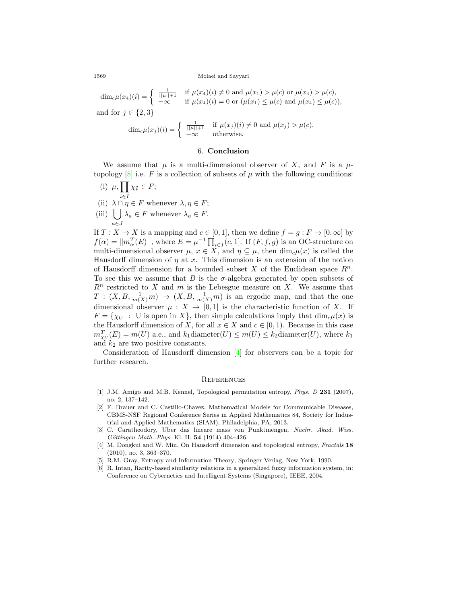#### 1569 Molaei and Sayyari

 $\dim_c \mu(x_4)(i) = \begin{cases} \frac{1}{||\mu||+1} & \text{if } \mu(x_4)(i) \neq 0 \text{ and } \mu(x_1) > \mu(c) \text{ or } \mu(x_4) > \mu(c), \ \lim_{x \to a} \mu(x_4)(x_4) & \text{if } \mu(x_4)(x_5) < \mu(x_5) < \mu(x_6) \end{cases}$ *−∞* if  $\mu(x_4)(i) = 0$  or  $(\mu(x_1) \leq \mu(c)$  and  $\mu(x_4) \leq \mu(c)$ )*,* and for  $j \in \{2, 3\}$  $\dim_c \mu(x_j)(i) = \begin{cases} \frac{1}{||\mu||+1} & \text{if } \mu(x_j)(i) \neq 0 \text{ and } \mu(x_j) > \mu(c), \end{cases}$ *−∞* otherwise*.*

## 6. **Conclusion**

We assume that  $\mu$  is a multi-dimensional observer of X, and F is a  $\mu$ topology  $[8]$  $[8]$  i.e. *F* is a collection of subsets of  $\mu$  with the following conditions:

(i) *µ,*∏ *i∈I*  $\chi_{\emptyset} \in F;$ (ii)  $\lambda \cap \eta \in F$  whenever  $\lambda, \eta \in F$ ;  $(iii)$  | ]  $\lambda_a \in F$  whenever  $\lambda_a \in F$ .

*a∈J* If  $T: X \to X$  is a mapping and  $c \in [0,1]$ , then we define  $f = g: F \to [0,\infty]$  by  $f(\alpha) = ||m_{\alpha}^T(E)||$ , where  $E = \mu^{-1} \prod_{i \in I} (c, 1]$ . If  $(F, f, g)$  is an OC-structure on multi-dimensional observer  $\mu$ ,  $x \in X$ , and  $\eta \subseteq \mu$ , then  $\dim_c \mu(x)$  is called the Hausdorff dimension of *η* at *x*. This dimension is an extension of the notion of Hausdorff dimension for a bounded subset *X* of the Euclidean space *R<sup>n</sup>*. To see this we assume that *B* is the  $\sigma$ -algebra generated by open subsets of *R<sup>n</sup>* restricted to *X* and *m* is the Lebesgue measure on *X*. We assume that  $T: (X, B, \frac{1}{m(X)}m) \rightarrow (X, B, \frac{1}{m(X)}m)$  is an ergodic map, and that the one dimensional observer  $\mu : X \to [0,1]$  is the characteristic function of *X*. If  $F = \{ \chi_U : U$  is open in X $\}$ , then simple calculations imply that  $\dim_c u(x)$  is the Hausdorff dimension of *X*, for all  $x \in X$  and  $c \in [0,1)$ . Because in this case  $m_{\chi_U}^T(E) = m(U)$  a.e., and  $k_1$ diameter $(U) \le m(U) \le k_2$ diameter $(U)$ , where  $k_1$ and *k*<sup>2</sup> are two positive constants.

Consideration of Hausdorff dimension [\[4](#page-11-5)] for observers can be a topic for further research.

### **REFERENCES**

- <span id="page-11-1"></span>[1] J.M. Amigo and M.B. Kennel, Topological permutation entropy, *Phys. D* **231** (2007), no. 2, 137–142.
- <span id="page-11-2"></span>[2] F. Brauer and C. Castillo-Chavez, Mathematical Models for Communicable Diseases, CBMS-NSF Regional Conference Series in Applied Mathematics 84, Society for Industrial and Applied Mathematics (SIAM), Philadelphia, PA, 2013.
- <span id="page-11-0"></span>[3] C. Caratheodory, Uber das lineare mass von Punktmengen, *Nachr. Akad. Wiss. G¨ottingen Math.-Phys.* Kl. II. **54** (1914) 404–426.
- <span id="page-11-5"></span>[4] M. Dongkui and W. Min, On Hausdorff dimension and topological entropy, *Fractals* **18** (2010), no. 3, 363–370.
- <span id="page-11-3"></span>[5] R.M. Gray, Entropy and Information Theory, Springer Verlag, New York, 1990.
- <span id="page-11-4"></span>[6] R. Intan, Rarity-based similarity relations in a generalized fuzzy information system, in: Conference on Cybernetics and Intelligent Systems (Singapore), IEEE, 2004.